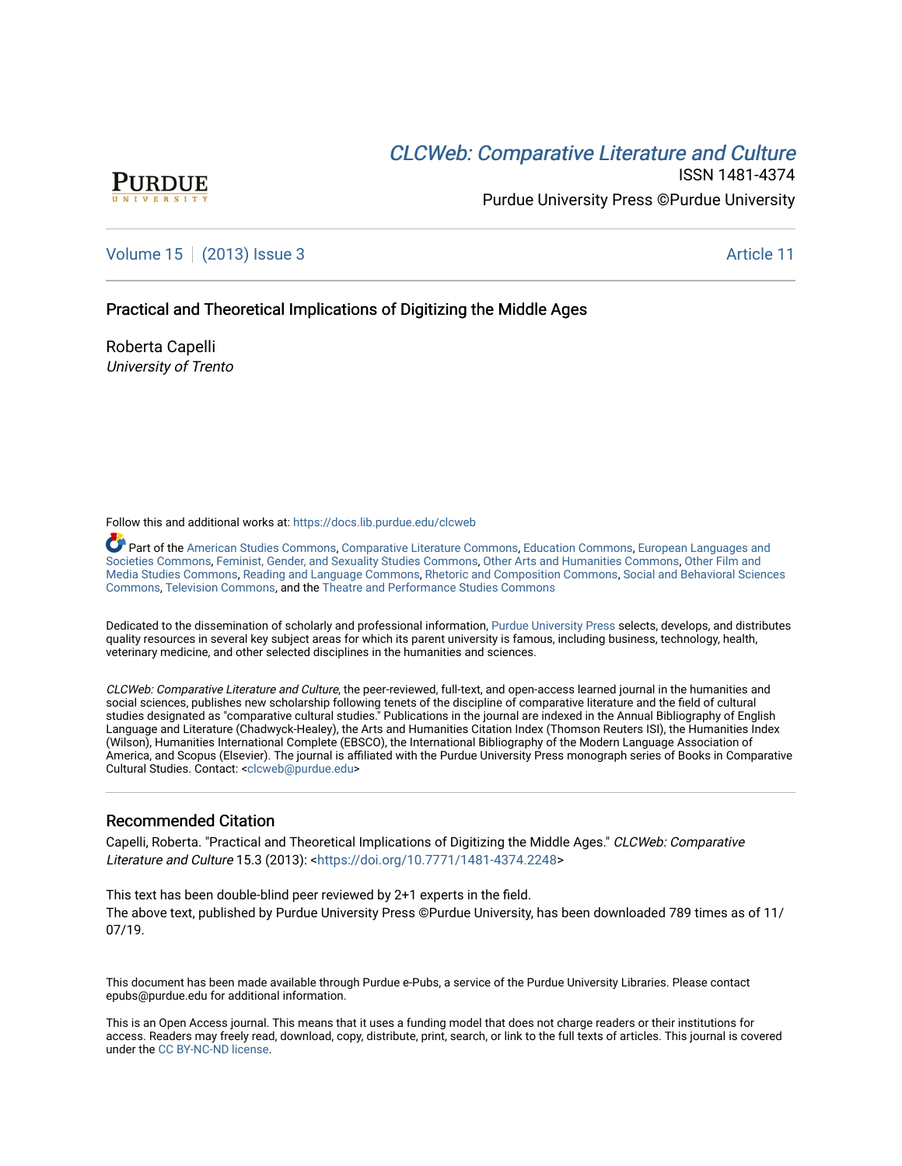# CLCW[eb: Comparative Liter](https://docs.lib.purdue.edu/clcweb)ature and Culture



ISSN 1481-4374 Purdue University Press ©Purdue University

### [Volume 15](https://docs.lib.purdue.edu/clcweb/vol15) | [\(2013\) Issue 3](https://docs.lib.purdue.edu/clcweb/vol15/iss3) Article 11

### Practical and Theoretical Implications of Digitizing the Middle Ages

Roberta Capelli University of Trento

Follow this and additional works at: [https://docs.lib.purdue.edu/clcweb](https://docs.lib.purdue.edu/clcweb?utm_source=docs.lib.purdue.edu%2Fclcweb%2Fvol15%2Fiss3%2F11&utm_medium=PDF&utm_campaign=PDFCoverPages)

Part of the [American Studies Commons](http://network.bepress.com/hgg/discipline/439?utm_source=docs.lib.purdue.edu%2Fclcweb%2Fvol15%2Fiss3%2F11&utm_medium=PDF&utm_campaign=PDFCoverPages), [Comparative Literature Commons,](http://network.bepress.com/hgg/discipline/454?utm_source=docs.lib.purdue.edu%2Fclcweb%2Fvol15%2Fiss3%2F11&utm_medium=PDF&utm_campaign=PDFCoverPages) [Education Commons,](http://network.bepress.com/hgg/discipline/784?utm_source=docs.lib.purdue.edu%2Fclcweb%2Fvol15%2Fiss3%2F11&utm_medium=PDF&utm_campaign=PDFCoverPages) [European Languages and](http://network.bepress.com/hgg/discipline/482?utm_source=docs.lib.purdue.edu%2Fclcweb%2Fvol15%2Fiss3%2F11&utm_medium=PDF&utm_campaign=PDFCoverPages) [Societies Commons](http://network.bepress.com/hgg/discipline/482?utm_source=docs.lib.purdue.edu%2Fclcweb%2Fvol15%2Fiss3%2F11&utm_medium=PDF&utm_campaign=PDFCoverPages), [Feminist, Gender, and Sexuality Studies Commons,](http://network.bepress.com/hgg/discipline/559?utm_source=docs.lib.purdue.edu%2Fclcweb%2Fvol15%2Fiss3%2F11&utm_medium=PDF&utm_campaign=PDFCoverPages) [Other Arts and Humanities Commons](http://network.bepress.com/hgg/discipline/577?utm_source=docs.lib.purdue.edu%2Fclcweb%2Fvol15%2Fiss3%2F11&utm_medium=PDF&utm_campaign=PDFCoverPages), [Other Film and](http://network.bepress.com/hgg/discipline/565?utm_source=docs.lib.purdue.edu%2Fclcweb%2Fvol15%2Fiss3%2F11&utm_medium=PDF&utm_campaign=PDFCoverPages)  [Media Studies Commons](http://network.bepress.com/hgg/discipline/565?utm_source=docs.lib.purdue.edu%2Fclcweb%2Fvol15%2Fiss3%2F11&utm_medium=PDF&utm_campaign=PDFCoverPages), [Reading and Language Commons](http://network.bepress.com/hgg/discipline/1037?utm_source=docs.lib.purdue.edu%2Fclcweb%2Fvol15%2Fiss3%2F11&utm_medium=PDF&utm_campaign=PDFCoverPages), [Rhetoric and Composition Commons,](http://network.bepress.com/hgg/discipline/573?utm_source=docs.lib.purdue.edu%2Fclcweb%2Fvol15%2Fiss3%2F11&utm_medium=PDF&utm_campaign=PDFCoverPages) [Social and Behavioral Sciences](http://network.bepress.com/hgg/discipline/316?utm_source=docs.lib.purdue.edu%2Fclcweb%2Fvol15%2Fiss3%2F11&utm_medium=PDF&utm_campaign=PDFCoverPages) [Commons,](http://network.bepress.com/hgg/discipline/316?utm_source=docs.lib.purdue.edu%2Fclcweb%2Fvol15%2Fiss3%2F11&utm_medium=PDF&utm_campaign=PDFCoverPages) [Television Commons,](http://network.bepress.com/hgg/discipline/1143?utm_source=docs.lib.purdue.edu%2Fclcweb%2Fvol15%2Fiss3%2F11&utm_medium=PDF&utm_campaign=PDFCoverPages) and the [Theatre and Performance Studies Commons](http://network.bepress.com/hgg/discipline/552?utm_source=docs.lib.purdue.edu%2Fclcweb%2Fvol15%2Fiss3%2F11&utm_medium=PDF&utm_campaign=PDFCoverPages)

Dedicated to the dissemination of scholarly and professional information, [Purdue University Press](http://www.thepress.purdue.edu/) selects, develops, and distributes quality resources in several key subject areas for which its parent university is famous, including business, technology, health, veterinary medicine, and other selected disciplines in the humanities and sciences.

CLCWeb: Comparative Literature and Culture, the peer-reviewed, full-text, and open-access learned journal in the humanities and social sciences, publishes new scholarship following tenets of the discipline of comparative literature and the field of cultural studies designated as "comparative cultural studies." Publications in the journal are indexed in the Annual Bibliography of English Language and Literature (Chadwyck-Healey), the Arts and Humanities Citation Index (Thomson Reuters ISI), the Humanities Index (Wilson), Humanities International Complete (EBSCO), the International Bibliography of the Modern Language Association of America, and Scopus (Elsevier). The journal is affiliated with the Purdue University Press monograph series of Books in Comparative Cultural Studies. Contact: [<clcweb@purdue.edu](mailto:clcweb@purdue.edu)>

### Recommended Citation

Capelli, Roberta. "Practical and Theoretical Implications of Digitizing the Middle Ages." CLCWeb: Comparative Literature and Culture 15.3 (2013): <<https://doi.org/10.7771/1481-4374.2248>>

This text has been double-blind peer reviewed by 2+1 experts in the field. The above text, published by Purdue University Press ©Purdue University, has been downloaded 789 times as of 11/ 07/19.

This document has been made available through Purdue e-Pubs, a service of the Purdue University Libraries. Please contact epubs@purdue.edu for additional information.

This is an Open Access journal. This means that it uses a funding model that does not charge readers or their institutions for access. Readers may freely read, download, copy, distribute, print, search, or link to the full texts of articles. This journal is covered under the [CC BY-NC-ND license.](https://creativecommons.org/licenses/by-nc-nd/4.0/)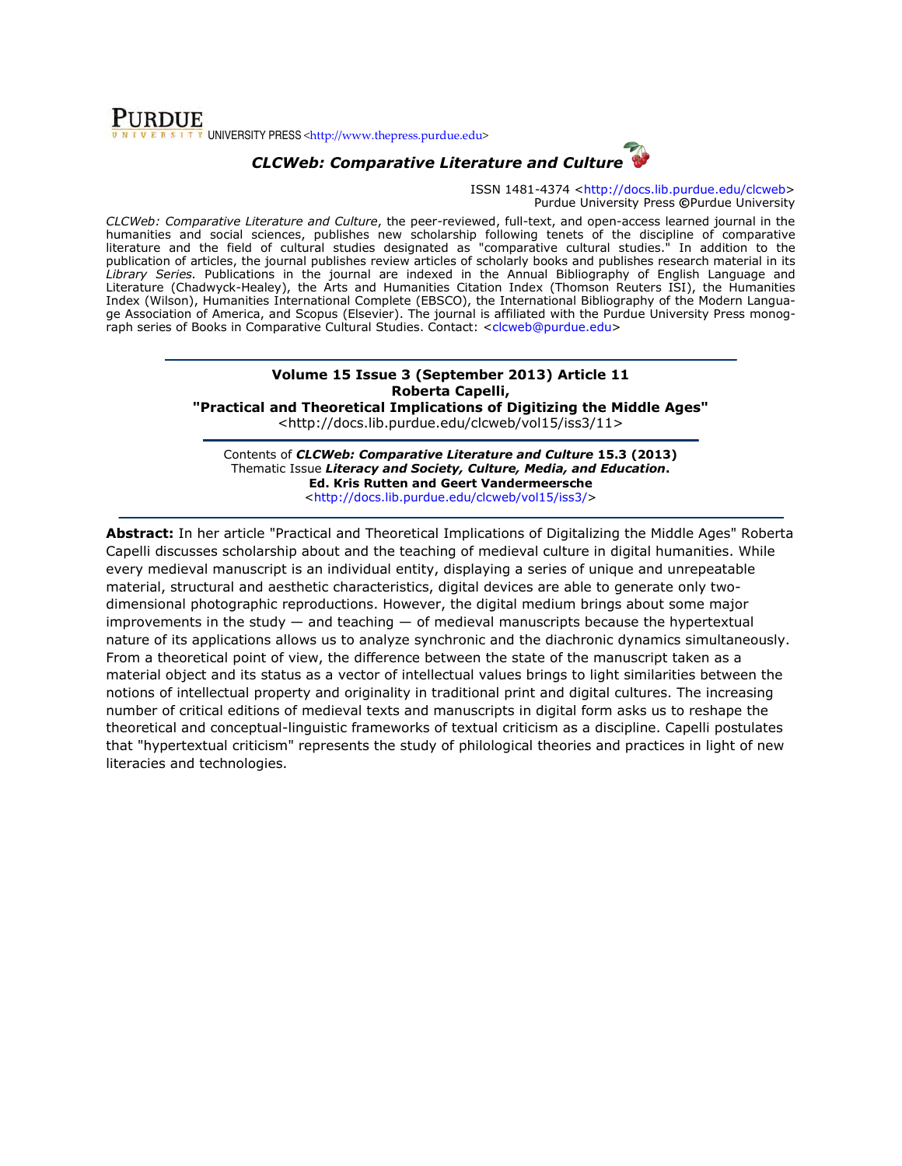### **PURDUE** UNIVERSITY PRESS <http://www.thepress.purdue.edu>



ISSN 1481-4374 <http://docs.lib.purdue.edu/clcweb> Purdue University Press ©Purdue University

CLCWeb: Comparative Literature and Culture, the peer-reviewed, full-text, and open-access learned journal in the humanities and social sciences, publishes new scholarship following tenets of the discipline of comparative literature and the field of cultural studies designated as "comparative cultural studies." In addition to the publication of articles, the journal publishes review articles of scholarly books and publishes research material in its Library Series. Publications in the journal are indexed in the Annual Bibliography of English Language and Literature (Chadwyck-Healey), the Arts and Humanities Citation Index (Thomson Reuters ISI), the Humanities Index (Wilson), Humanities International Complete (EBSCO), the International Bibliography of the Modern Language Association of America, and Scopus (Elsevier). The journal is affiliated with the Purdue University Press monograph series of Books in Comparative Cultural Studies. Contact: <clcweb@purdue.edu>

## Volume 15 Issue 3 (September 2013) Article 11 Roberta Capelli,

"Practical and Theoretical Implications of Digitizing the Middle Ages"

<http://docs.lib.purdue.edu/clcweb/vol15/iss3/11>

Contents of CLCWeb: Comparative Literature and Culture 15.3 (2013) Thematic Issue Literacy and Society, Culture, Media, and Education. Ed. Kris Rutten and Geert Vandermeersche <http://docs.lib.purdue.edu/clcweb/vol15/iss3/>

Abstract: In her article "Practical and Theoretical Implications of Digitalizing the Middle Ages" Roberta Capelli discusses scholarship about and the teaching of medieval culture in digital humanities. While every medieval manuscript is an individual entity, displaying a series of unique and unrepeatable material, structural and aesthetic characteristics, digital devices are able to generate only twodimensional photographic reproductions. However, the digital medium brings about some major improvements in the study  $-$  and teaching  $-$  of medieval manuscripts because the hypertextual nature of its applications allows us to analyze synchronic and the diachronic dynamics simultaneously. From a theoretical point of view, the difference between the state of the manuscript taken as a material object and its status as a vector of intellectual values brings to light similarities between the notions of intellectual property and originality in traditional print and digital cultures. The increasing number of critical editions of medieval texts and manuscripts in digital form asks us to reshape the theoretical and conceptual-linguistic frameworks of textual criticism as a discipline. Capelli postulates that "hypertextual criticism" represents the study of philological theories and practices in light of new literacies and technologies.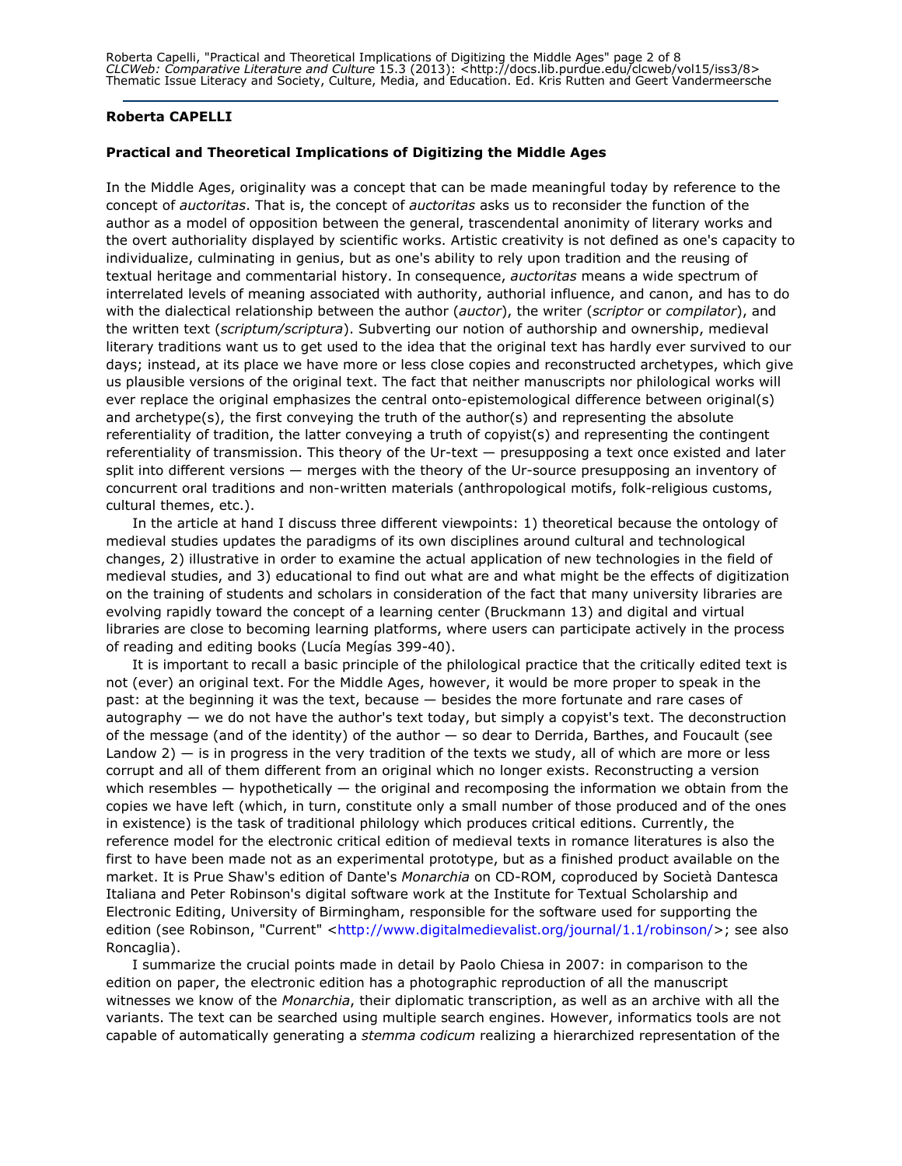Roberta Capelli, "Practical and Theoretical Implications of Digitizing the Middle Ages" page 2 of 8 CLCWeb: Comparative Literature and Culture 15.3 (2013): <http://docs.lib.purdue.edu/clcweb/vol15/iss3/8> Thematic Issue Literacy and Society, Culture, Media, and Education. Ed. Kris Rutten and Geert Vandermeersche

#### Roberta CAPELLI

#### Practical and Theoretical Implications of Digitizing the Middle Ages

In the Middle Ages, originality was a concept that can be made meaningful today by reference to the concept of auctoritas. That is, the concept of auctoritas asks us to reconsider the function of the author as a model of opposition between the general, trascendental anonimity of literary works and the overt authoriality displayed by scientific works. Artistic creativity is not defined as one's capacity to individualize, culminating in genius, but as one's ability to rely upon tradition and the reusing of textual heritage and commentarial history. In consequence, auctoritas means a wide spectrum of interrelated levels of meaning associated with authority, authorial influence, and canon, and has to do with the dialectical relationship between the author (auctor), the writer (scriptor or compilator), and the written text (scriptum/scriptura). Subverting our notion of authorship and ownership, medieval literary traditions want us to get used to the idea that the original text has hardly ever survived to our days; instead, at its place we have more or less close copies and reconstructed archetypes, which give us plausible versions of the original text. The fact that neither manuscripts nor philological works will ever replace the original emphasizes the central onto-epistemological difference between original(s) and archetype(s), the first conveying the truth of the author(s) and representing the absolute referentiality of tradition, the latter conveying a truth of copyist(s) and representing the contingent referentiality of transmission. This theory of the Ur-text — presupposing a text once existed and later split into different versions — merges with the theory of the Ur-source presupposing an inventory of concurrent oral traditions and non-written materials (anthropological motifs, folk-religious customs, cultural themes, etc.).

In the article at hand I discuss three different viewpoints: 1) theoretical because the ontology of medieval studies updates the paradigms of its own disciplines around cultural and technological changes, 2) illustrative in order to examine the actual application of new technologies in the field of medieval studies, and 3) educational to find out what are and what might be the effects of digitization on the training of students and scholars in consideration of the fact that many university libraries are evolving rapidly toward the concept of a learning center (Bruckmann 13) and digital and virtual libraries are close to becoming learning platforms, where users can participate actively in the process of reading and editing books (Lucía Megías 399-40).

It is important to recall a basic principle of the philological practice that the critically edited text is not (ever) an original text. For the Middle Ages, however, it would be more proper to speak in the past: at the beginning it was the text, because — besides the more fortunate and rare cases of autography  $-$  we do not have the author's text today, but simply a copyist's text. The deconstruction of the message (and of the identity) of the author — so dear to Derrida, Barthes, and Foucault (see Landow  $2$ )  $-$  is in progress in the very tradition of the texts we study, all of which are more or less corrupt and all of them different from an original which no longer exists. Reconstructing a version which resembles  $-$  hypothetically  $-$  the original and recomposing the information we obtain from the copies we have left (which, in turn, constitute only a small number of those produced and of the ones in existence) is the task of traditional philology which produces critical editions. Currently, the reference model for the electronic critical edition of medieval texts in romance literatures is also the first to have been made not as an experimental prototype, but as a finished product available on the market. It is Prue Shaw's edition of Dante's Monarchia on CD-ROM, coproduced by Società Dantesca Italiana and Peter Robinson's digital software work at the Institute for Textual Scholarship and Electronic Editing, University of Birmingham, responsible for the software used for supporting the edition (see Robinson, "Current" <http://www.digitalmedievalist.org/journal/1.1/robinson/>; see also Roncaglia).

I summarize the crucial points made in detail by Paolo Chiesa in 2007: in comparison to the edition on paper, the electronic edition has a photographic reproduction of all the manuscript witnesses we know of the Monarchia, their diplomatic transcription, as well as an archive with all the variants. The text can be searched using multiple search engines. However, informatics tools are not capable of automatically generating a stemma codicum realizing a hierarchized representation of the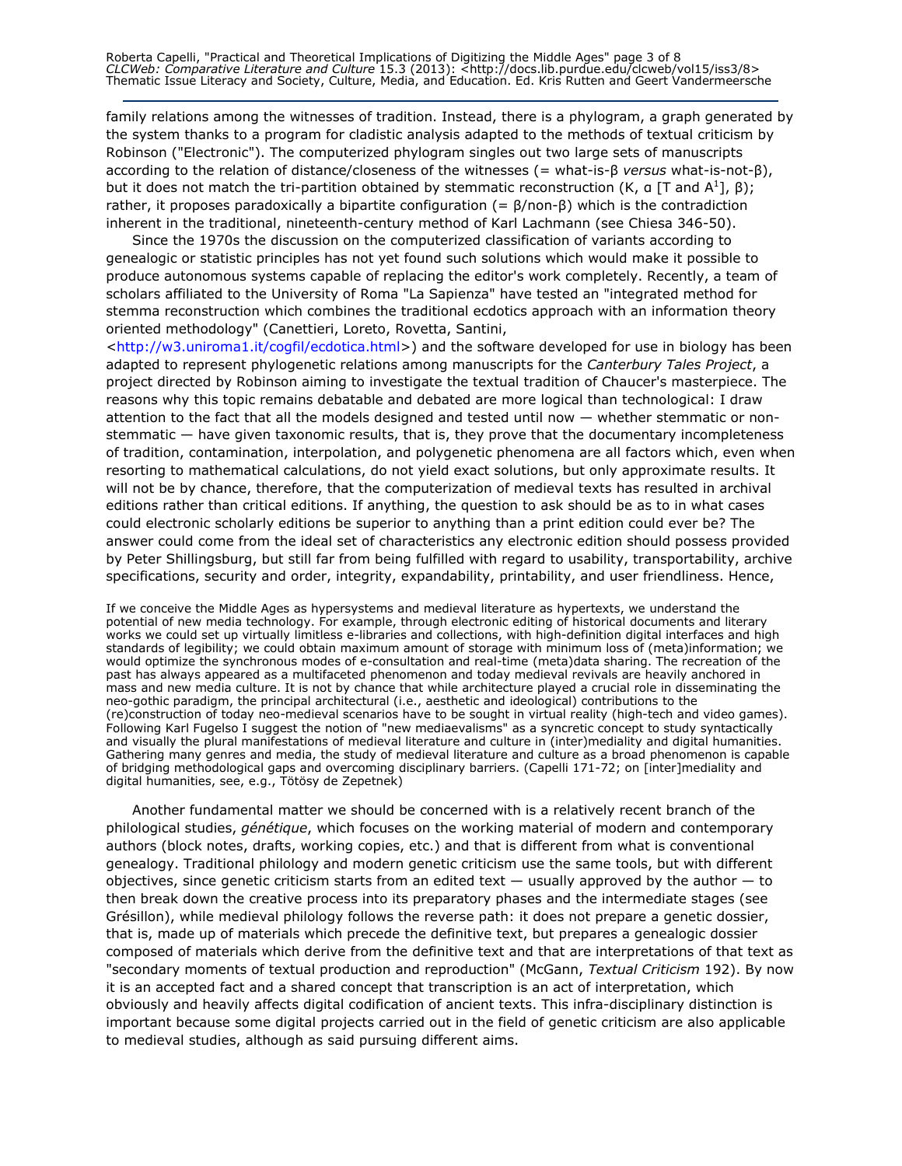Roberta Capelli, "Practical and Theoretical Implications of Digitizing the Middle Ages" page 3 of 8 CLCWeb: Comparative Literature and Culture 15.3 (2013): <http://docs.lib.purdue.edu/clcweb/vol15/iss3/8> Thematic Issue Literacy and Society, Culture, Media, and Education. Ed. Kris Rutten and Geert Vandermeersche

family relations among the witnesses of tradition. Instead, there is a phylogram, a graph generated by the system thanks to a program for cladistic analysis adapted to the methods of textual criticism by Robinson ("Electronic"). The computerized phylogram singles out two large sets of manuscripts according to the relation of distance/closeness of the witnesses (= what-is-β versus what-is-not-β), but it does not match the tri-partition obtained by stemmatic reconstruction (K, a [T and A<sup>1</sup>], β); rather, it proposes paradoxically a bipartite configuration (=  $\beta$ /non- $\beta$ ) which is the contradiction inherent in the traditional, nineteenth-century method of Karl Lachmann (see Chiesa 346-50).

Since the 1970s the discussion on the computerized classification of variants according to genealogic or statistic principles has not yet found such solutions which would make it possible to produce autonomous systems capable of replacing the editor's work completely. Recently, a team of scholars affiliated to the University of Roma "La Sapienza" have tested an "integrated method for stemma reconstruction which combines the traditional ecdotics approach with an information theory oriented methodology" (Canettieri, Loreto, Rovetta, Santini,

<http://w3.uniroma1.it/cogfil/ecdotica.html>) and the software developed for use in biology has been adapted to represent phylogenetic relations among manuscripts for the Canterbury Tales Project, a project directed by Robinson aiming to investigate the textual tradition of Chaucer's masterpiece. The reasons why this topic remains debatable and debated are more logical than technological: I draw attention to the fact that all the models designed and tested until now — whether stemmatic or nonstemmatic — have given taxonomic results, that is, they prove that the documentary incompleteness of tradition, contamination, interpolation, and polygenetic phenomena are all factors which, even when resorting to mathematical calculations, do not yield exact solutions, but only approximate results. It will not be by chance, therefore, that the computerization of medieval texts has resulted in archival editions rather than critical editions. If anything, the question to ask should be as to in what cases could electronic scholarly editions be superior to anything than a print edition could ever be? The answer could come from the ideal set of characteristics any electronic edition should possess provided by Peter Shillingsburg, but still far from being fulfilled with regard to usability, transportability, archive specifications, security and order, integrity, expandability, printability, and user friendliness. Hence,

If we conceive the Middle Ages as hypersystems and medieval literature as hypertexts, we understand the potential of new media technology. For example, through electronic editing of historical documents and literary works we could set up virtually limitless e-libraries and collections, with high-definition digital interfaces and high standards of legibility; we could obtain maximum amount of storage with minimum loss of (meta)information; we would optimize the synchronous modes of e-consultation and real-time (meta)data sharing. The recreation of the past has always appeared as a multifaceted phenomenon and today medieval revivals are heavily anchored in mass and new media culture. It is not by chance that while architecture played a crucial role in disseminating the neo-gothic paradigm, the principal architectural (i.e., aesthetic and ideological) contributions to the (re)construction of today neo-medieval scenarios have to be sought in virtual reality (high-tech and video games). Following Karl Fugelso I suggest the notion of "new mediaevalisms" as a syncretic concept to study syntactically and visually the plural manifestations of medieval literature and culture in (inter)mediality and digital humanities. Gathering many genres and media, the study of medieval literature and culture as a broad phenomenon is capable of bridging methodological gaps and overcoming disciplinary barriers. (Capelli 171-72; on [inter]mediality and digital humanities, see, e.g., Tötösy de Zepetnek)

Another fundamental matter we should be concerned with is a relatively recent branch of the philological studies, *génétique*, which focuses on the working material of modern and contemporary authors (block notes, drafts, working copies, etc.) and that is different from what is conventional genealogy. Traditional philology and modern genetic criticism use the same tools, but with different objectives, since genetic criticism starts from an edited text  $-$  usually approved by the author  $-$  to then break down the creative process into its preparatory phases and the intermediate stages (see Grésillon), while medieval philology follows the reverse path: it does not prepare a genetic dossier, that is, made up of materials which precede the definitive text, but prepares a genealogic dossier composed of materials which derive from the definitive text and that are interpretations of that text as "secondary moments of textual production and reproduction" (McGann, Textual Criticism 192). By now it is an accepted fact and a shared concept that transcription is an act of interpretation, which obviously and heavily affects digital codification of ancient texts. This infra-disciplinary distinction is important because some digital projects carried out in the field of genetic criticism are also applicable to medieval studies, although as said pursuing different aims.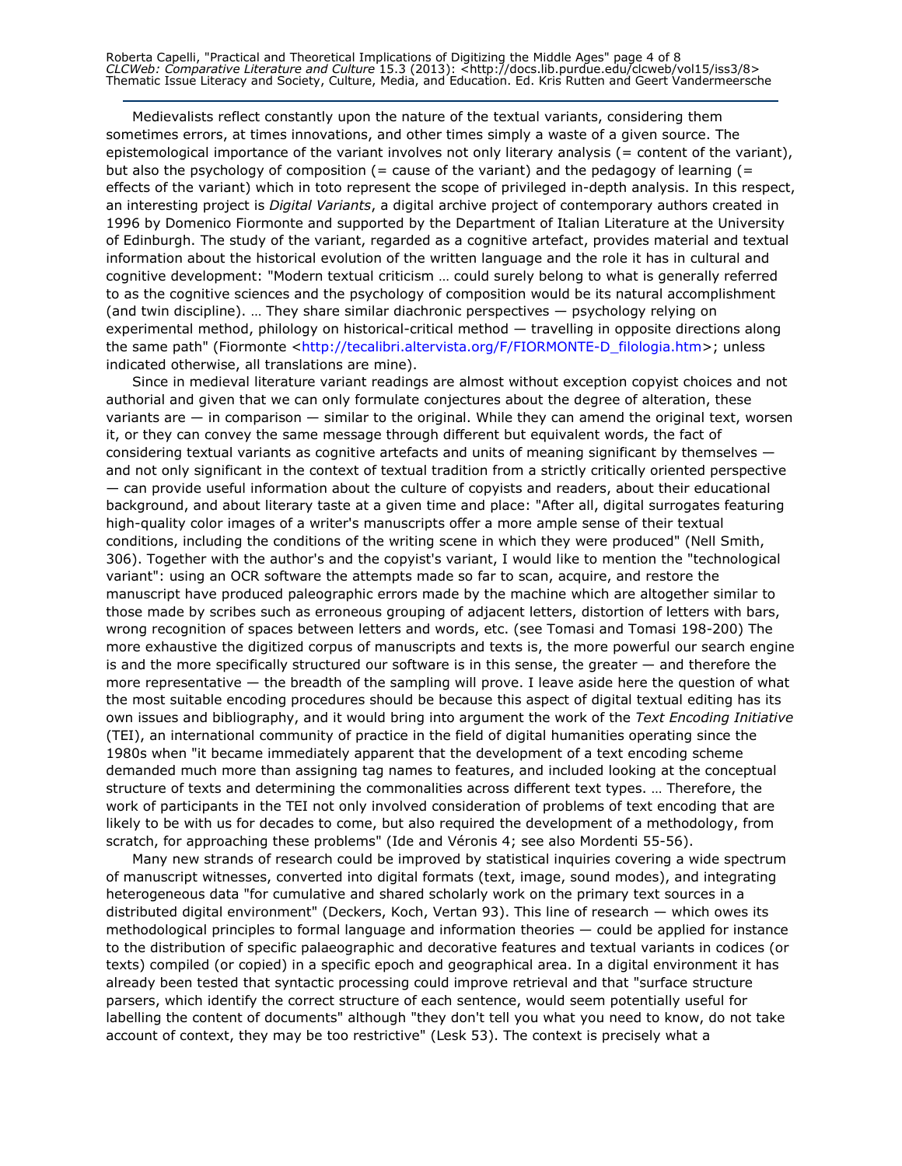Roberta Capelli, "Practical and Theoretical Implications of Digitizing the Middle Ages" page 4 of 8 CLCWeb: Comparative Literature and Culture 15.3 (2013): <http://docs.lib.purdue.edu/clcweb/vol15/iss3/8> Thematic Issue Literacy and Society, Culture, Media, and Education. Ed. Kris Rutten and Geert Vandermeersche

Medievalists reflect constantly upon the nature of the textual variants, considering them sometimes errors, at times innovations, and other times simply a waste of a given source. The epistemological importance of the variant involves not only literary analysis (= content of the variant), but also the psychology of composition (= cause of the variant) and the pedagogy of learning (= effects of the variant) which in toto represent the scope of privileged in-depth analysis. In this respect, an interesting project is Digital Variants, a digital archive project of contemporary authors created in 1996 by Domenico Fiormonte and supported by the Department of Italian Literature at the University of Edinburgh. The study of the variant, regarded as a cognitive artefact, provides material and textual information about the historical evolution of the written language and the role it has in cultural and cognitive development: "Modern textual criticism … could surely belong to what is generally referred to as the cognitive sciences and the psychology of composition would be its natural accomplishment (and twin discipline). … They share similar diachronic perspectives — psychology relying on experimental method, philology on historical-critical method — travelling in opposite directions along the same path" (Fiormonte <http://tecalibri.altervista.org/F/FIORMONTE-D\_filologia.htm>; unless indicated otherwise, all translations are mine).

Since in medieval literature variant readings are almost without exception copyist choices and not authorial and given that we can only formulate conjectures about the degree of alteration, these variants are — in comparison — similar to the original. While they can amend the original text, worsen it, or they can convey the same message through different but equivalent words, the fact of considering textual variants as cognitive artefacts and units of meaning significant by themselves and not only significant in the context of textual tradition from a strictly critically oriented perspective — can provide useful information about the culture of copyists and readers, about their educational background, and about literary taste at a given time and place: "After all, digital surrogates featuring high-quality color images of a writer's manuscripts offer a more ample sense of their textual conditions, including the conditions of the writing scene in which they were produced" (Nell Smith, 306). Together with the author's and the copyist's variant, I would like to mention the "technological variant": using an OCR software the attempts made so far to scan, acquire, and restore the manuscript have produced paleographic errors made by the machine which are altogether similar to those made by scribes such as erroneous grouping of adjacent letters, distortion of letters with bars, wrong recognition of spaces between letters and words, etc. (see Tomasi and Tomasi 198-200) The more exhaustive the digitized corpus of manuscripts and texts is, the more powerful our search engine is and the more specifically structured our software is in this sense, the greater — and therefore the more representative — the breadth of the sampling will prove. I leave aside here the question of what the most suitable encoding procedures should be because this aspect of digital textual editing has its own issues and bibliography, and it would bring into argument the work of the Text Encoding Initiative (TEI), an international community of practice in the field of digital humanities operating since the 1980s when "it became immediately apparent that the development of a text encoding scheme demanded much more than assigning tag names to features, and included looking at the conceptual structure of texts and determining the commonalities across different text types. … Therefore, the work of participants in the TEI not only involved consideration of problems of text encoding that are likely to be with us for decades to come, but also required the development of a methodology, from scratch, for approaching these problems" (Ide and Véronis 4; see also Mordenti 55-56).

Many new strands of research could be improved by statistical inquiries covering a wide spectrum of manuscript witnesses, converted into digital formats (text, image, sound modes), and integrating heterogeneous data "for cumulative and shared scholarly work on the primary text sources in a distributed digital environment" (Deckers, Koch, Vertan 93). This line of research — which owes its methodological principles to formal language and information theories — could be applied for instance to the distribution of specific palaeographic and decorative features and textual variants in codices (or texts) compiled (or copied) in a specific epoch and geographical area. In a digital environment it has already been tested that syntactic processing could improve retrieval and that "surface structure parsers, which identify the correct structure of each sentence, would seem potentially useful for labelling the content of documents" although "they don't tell you what you need to know, do not take account of context, they may be too restrictive" (Lesk 53). The context is precisely what a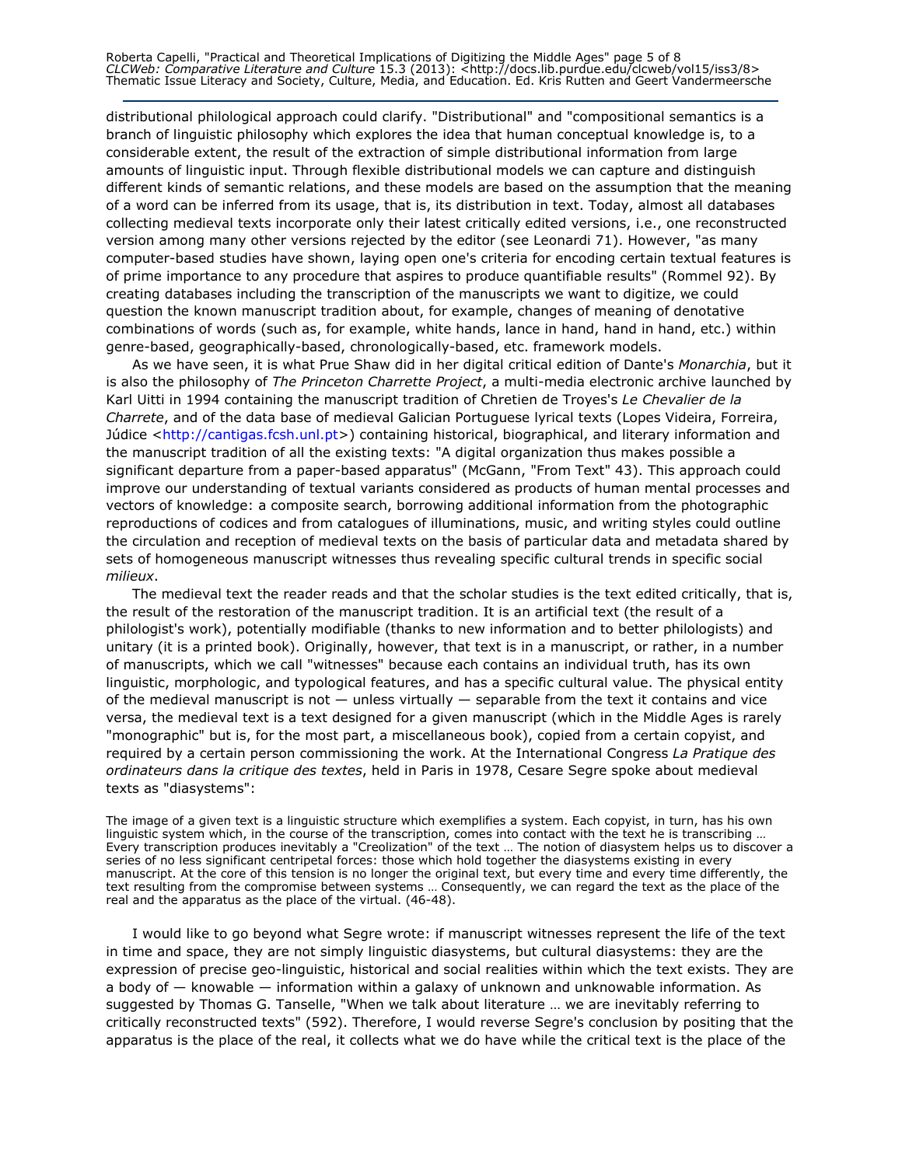Roberta Capelli, "Practical and Theoretical Implications of Digitizing the Middle Ages" page 5 of 8 CLCWeb: Comparative Literature and Culture 15.3 (2013): <http://docs.lib.purdue.edu/clcweb/vol15/iss3/8> Thematic Issue Literacy and Society, Culture, Media, and Education. Ed. Kris Rutten and Geert Vandermeersche

distributional philological approach could clarify. "Distributional" and "compositional semantics is a branch of linguistic philosophy which explores the idea that human conceptual knowledge is, to a considerable extent, the result of the extraction of simple distributional information from large amounts of linguistic input. Through flexible distributional models we can capture and distinguish different kinds of semantic relations, and these models are based on the assumption that the meaning of a word can be inferred from its usage, that is, its distribution in text. Today, almost all databases collecting medieval texts incorporate only their latest critically edited versions, i.e., one reconstructed version among many other versions rejected by the editor (see Leonardi 71). However, "as many computer-based studies have shown, laying open one's criteria for encoding certain textual features is of prime importance to any procedure that aspires to produce quantifiable results" (Rommel 92). By creating databases including the transcription of the manuscripts we want to digitize, we could question the known manuscript tradition about, for example, changes of meaning of denotative combinations of words (such as, for example, white hands, lance in hand, hand in hand, etc.) within genre-based, geographically-based, chronologically-based, etc. framework models.

As we have seen, it is what Prue Shaw did in her digital critical edition of Dante's Monarchia, but it is also the philosophy of The Princeton Charrette Project, a multi-media electronic archive launched by Karl Uitti in 1994 containing the manuscript tradition of Chretien de Troyes's Le Chevalier de la Charrete, and of the data base of medieval Galician Portuguese lyrical texts (Lopes Videira, Forreira, Júdice <http://cantigas.fcsh.unl.pt>) containing historical, biographical, and literary information and the manuscript tradition of all the existing texts: "A digital organization thus makes possible a significant departure from a paper-based apparatus" (McGann, "From Text" 43). This approach could improve our understanding of textual variants considered as products of human mental processes and vectors of knowledge: a composite search, borrowing additional information from the photographic reproductions of codices and from catalogues of illuminations, music, and writing styles could outline the circulation and reception of medieval texts on the basis of particular data and metadata shared by sets of homogeneous manuscript witnesses thus revealing specific cultural trends in specific social milieux.

The medieval text the reader reads and that the scholar studies is the text edited critically, that is, the result of the restoration of the manuscript tradition. It is an artificial text (the result of a philologist's work), potentially modifiable (thanks to new information and to better philologists) and unitary (it is a printed book). Originally, however, that text is in a manuscript, or rather, in a number of manuscripts, which we call "witnesses" because each contains an individual truth, has its own linguistic, morphologic, and typological features, and has a specific cultural value. The physical entity of the medieval manuscript is not — unless virtually — separable from the text it contains and vice versa, the medieval text is a text designed for a given manuscript (which in the Middle Ages is rarely "monographic" but is, for the most part, a miscellaneous book), copied from a certain copyist, and required by a certain person commissioning the work. At the International Congress La Pratique des ordinateurs dans la critique des textes, held in Paris in 1978, Cesare Segre spoke about medieval texts as "diasystems":

The image of a given text is a linguistic structure which exemplifies a system. Each copyist, in turn, has his own linguistic system which, in the course of the transcription, comes into contact with the text he is transcribing … Every transcription produces inevitably a "Creolization" of the text … The notion of diasystem helps us to discover a series of no less significant centripetal forces: those which hold together the diasystems existing in every manuscript. At the core of this tension is no longer the original text, but every time and every time differently, the text resulting from the compromise between systems … Consequently, we can regard the text as the place of the real and the apparatus as the place of the virtual. (46-48).

I would like to go beyond what Segre wrote: if manuscript witnesses represent the life of the text in time and space, they are not simply linguistic diasystems, but cultural diasystems: they are the expression of precise geo-linguistic, historical and social realities within which the text exists. They are a body of  $-$  knowable  $-$  information within a galaxy of unknown and unknowable information. As suggested by Thomas G. Tanselle, "When we talk about literature … we are inevitably referring to critically reconstructed texts" (592). Therefore, I would reverse Segre's conclusion by positing that the apparatus is the place of the real, it collects what we do have while the critical text is the place of the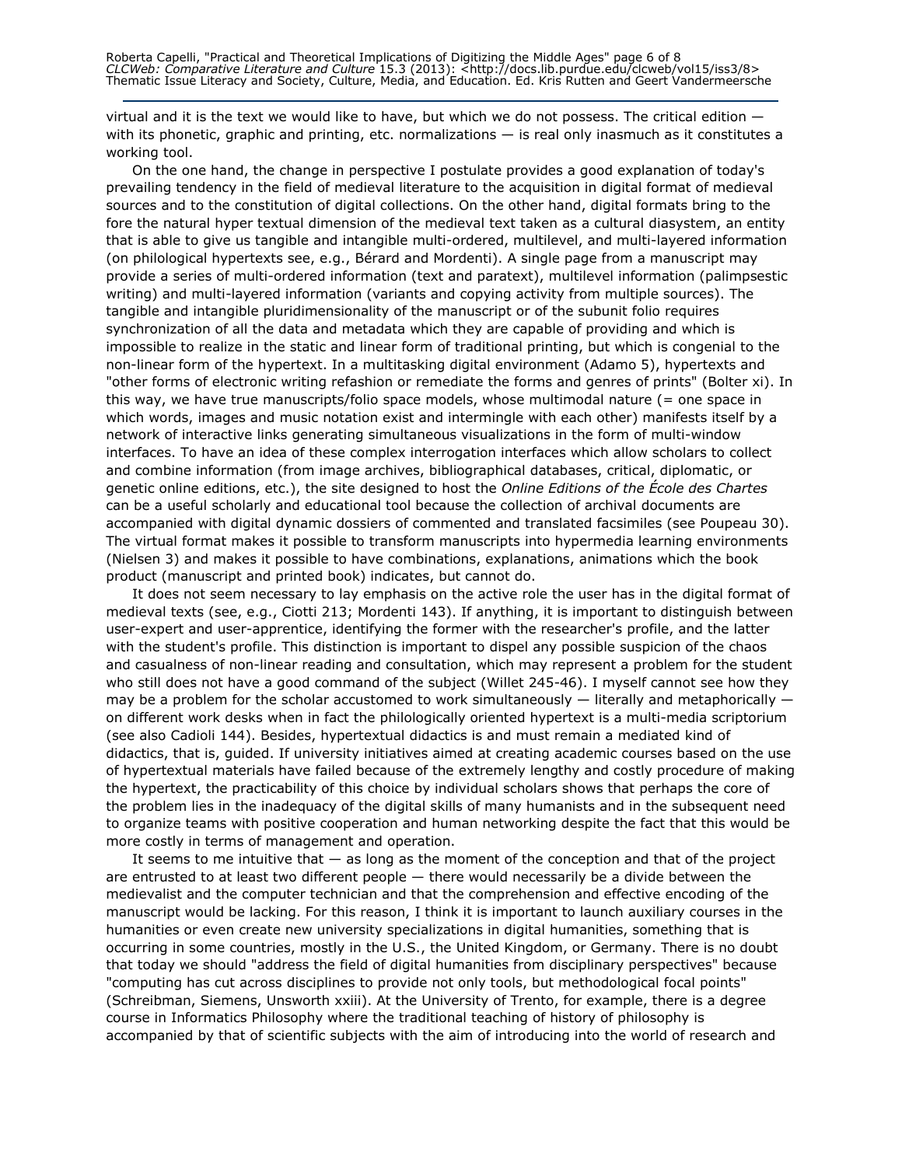virtual and it is the text we would like to have, but which we do not possess. The critical edition with its phonetic, graphic and printing, etc. normalizations — is real only inasmuch as it constitutes a working tool.

On the one hand, the change in perspective I postulate provides a good explanation of today's prevailing tendency in the field of medieval literature to the acquisition in digital format of medieval sources and to the constitution of digital collections. On the other hand, digital formats bring to the fore the natural hyper textual dimension of the medieval text taken as a cultural diasystem, an entity that is able to give us tangible and intangible multi-ordered, multilevel, and multi-layered information (on philological hypertexts see, e.g., Bérard and Mordenti). A single page from a manuscript may provide a series of multi-ordered information (text and paratext), multilevel information (palimpsestic writing) and multi-layered information (variants and copying activity from multiple sources). The tangible and intangible pluridimensionality of the manuscript or of the subunit folio requires synchronization of all the data and metadata which they are capable of providing and which is impossible to realize in the static and linear form of traditional printing, but which is congenial to the non-linear form of the hypertext. In a multitasking digital environment (Adamo 5), hypertexts and "other forms of electronic writing refashion or remediate the forms and genres of prints" (Bolter xi). In this way, we have true manuscripts/folio space models, whose multimodal nature (= one space in which words, images and music notation exist and intermingle with each other) manifests itself by a network of interactive links generating simultaneous visualizations in the form of multi-window interfaces. To have an idea of these complex interrogation interfaces which allow scholars to collect and combine information (from image archives, bibliographical databases, critical, diplomatic, or genetic online editions, etc.), the site designed to host the Online Editions of the École des Chartes can be a useful scholarly and educational tool because the collection of archival documents are accompanied with digital dynamic dossiers of commented and translated facsimiles (see Poupeau 30). The virtual format makes it possible to transform manuscripts into hypermedia learning environments (Nielsen 3) and makes it possible to have combinations, explanations, animations which the book product (manuscript and printed book) indicates, but cannot do.

It does not seem necessary to lay emphasis on the active role the user has in the digital format of medieval texts (see, e.g., Ciotti 213; Mordenti 143). If anything, it is important to distinguish between user-expert and user-apprentice, identifying the former with the researcher's profile, and the latter with the student's profile. This distinction is important to dispel any possible suspicion of the chaos and casualness of non-linear reading and consultation, which may represent a problem for the student who still does not have a good command of the subject (Willet 245-46). I myself cannot see how they may be a problem for the scholar accustomed to work simultaneously  $-$  literally and metaphorically  $$ on different work desks when in fact the philologically oriented hypertext is a multi-media scriptorium (see also Cadioli 144). Besides, hypertextual didactics is and must remain a mediated kind of didactics, that is, guided. If university initiatives aimed at creating academic courses based on the use of hypertextual materials have failed because of the extremely lengthy and costly procedure of making the hypertext, the practicability of this choice by individual scholars shows that perhaps the core of the problem lies in the inadequacy of the digital skills of many humanists and in the subsequent need to organize teams with positive cooperation and human networking despite the fact that this would be more costly in terms of management and operation.

It seems to me intuitive that  $-$  as long as the moment of the conception and that of the project are entrusted to at least two different people — there would necessarily be a divide between the medievalist and the computer technician and that the comprehension and effective encoding of the manuscript would be lacking. For this reason, I think it is important to launch auxiliary courses in the humanities or even create new university specializations in digital humanities, something that is occurring in some countries, mostly in the U.S., the United Kingdom, or Germany. There is no doubt that today we should "address the field of digital humanities from disciplinary perspectives" because "computing has cut across disciplines to provide not only tools, but methodological focal points" (Schreibman, Siemens, Unsworth xxiii). At the University of Trento, for example, there is a degree course in Informatics Philosophy where the traditional teaching of history of philosophy is accompanied by that of scientific subjects with the aim of introducing into the world of research and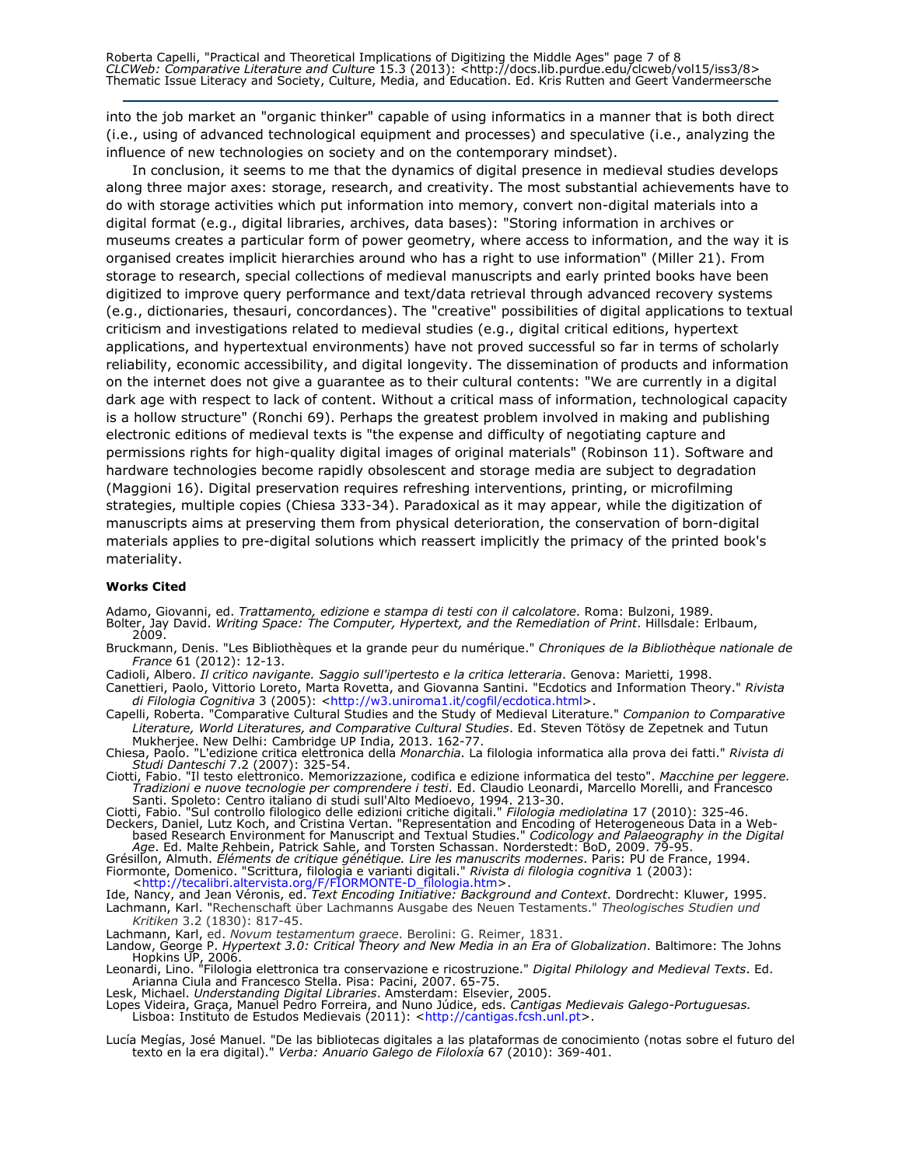Roberta Capelli, "Practical and Theoretical Implications of Digitizing the Middle Ages" page 7 of 8 CLCWeb: Comparative Literature and Culture 15.3 (2013): <http://docs.lib.purdue.edu/clcweb/vol15/iss3/8> Thematic Issue Literacy and Society, Culture, Media, and Education. Ed. Kris Rutten and Geert Vandermeersche

into the job market an "organic thinker" capable of using informatics in a manner that is both direct (i.e., using of advanced technological equipment and processes) and speculative (i.e., analyzing the influence of new technologies on society and on the contemporary mindset).

In conclusion, it seems to me that the dynamics of digital presence in medieval studies develops along three major axes: storage, research, and creativity. The most substantial achievements have to do with storage activities which put information into memory, convert non-digital materials into a digital format (e.g., digital libraries, archives, data bases): "Storing information in archives or museums creates a particular form of power geometry, where access to information, and the way it is organised creates implicit hierarchies around who has a right to use information" (Miller 21). From storage to research, special collections of medieval manuscripts and early printed books have been digitized to improve query performance and text/data retrieval through advanced recovery systems (e.g., dictionaries, thesauri, concordances). The "creative" possibilities of digital applications to textual criticism and investigations related to medieval studies (e.g., digital critical editions, hypertext applications, and hypertextual environments) have not proved successful so far in terms of scholarly reliability, economic accessibility, and digital longevity. The dissemination of products and information on the internet does not give a guarantee as to their cultural contents: "We are currently in a digital dark age with respect to lack of content. Without a critical mass of information, technological capacity is a hollow structure" (Ronchi 69). Perhaps the greatest problem involved in making and publishing electronic editions of medieval texts is "the expense and difficulty of negotiating capture and permissions rights for high-quality digital images of original materials" (Robinson 11). Software and hardware technologies become rapidly obsolescent and storage media are subject to degradation (Maggioni 16). Digital preservation requires refreshing interventions, printing, or microfilming strategies, multiple copies (Chiesa 333-34). Paradoxical as it may appear, while the digitization of manuscripts aims at preserving them from physical deterioration, the conservation of born-digital materials applies to pre-digital solutions which reassert implicitly the primacy of the printed book's materiality.

#### Works Cited

Adamo, Giovanni, ed. Trattamento, edizione e stampa di testi con il calcolatore. Roma: Bulzoni, 1989. Bolter, Jay David. *Writing Space: The Computer, Hypertext, and the Remediation of Print*. Hillsdale: Erlbaum,<br>2009.

Bruckmann, Denis. "Les Bibliothèques et la grande peur du numérique." Chroniques de la Bibliothèque nationale de France 61 (2012): 12-13.

Cadioli, Albero. Il critico navigante. Saggio sull'ipertesto e la critica letteraria. Genova: Marietti, 1998. Canettieri, Paolo, Vittorio Loreto, Marta Rovetta, and Giovanna Santini. "Ecdotics and Information Theory." Rivista

di Filologia Cognitiva 3 (2005): <http://w3.uniroma1.it/cogfil/ecdotica.html>. Capelli, Roberta. "Comparative Cultural Studies and the Study of Medieval Literature." Companion to Comparative Literature, World Literatures, and Comparative Cultural Studies. Ed. Steven Tötösy de Zepetnek and Tutun Mukherjee. New Delhi: Cambridge UP India, 2013. 162-77.

Chiesa, Paolo. "L'edizione critica elettronica della *Monarchia*. La filologia informatica alla prova dei fatti." *Rivista di* 

Studi Danteschi 7.2 (2007): 325-54.<br>Ciotti, Fabio. "Il testo elettronico. Memorizzazione, codifica e edizione informatica del testo". Macchine per leggere. Tradizioni e nuove tecnologie per comprendere i testi. Ed. Claudio Leonardi, Marcello Morelli, and Francesco

Santi. Spoleto: Centro italiano di studi sull'Alto Medioevo, 1994. 213-30.<br>Ciotti, Fabio. "Sul controllo filologico delle edizioni critiche digitali." *Filologia mediolatina* 17 (2010): 325-46. Deckers, Daniel, Lutz Koch, and Cristina Vertan. "Representation and Encoding of Heterogeneous Data in a Webbased Research Environment for Manuscript and Textual Studies." Codicology and Palaeography in the Digital

Age. Ed. Malte Rehbein, Patrick Sahle, and Torsten Schassan. Norderstedt: BoD, 2009. 79-95. Grésillon, Almuth. Éléments de critique génétique. Lire les manuscrits modernes. Paris: PU de France, 1994. Fiormonte, Domenico. "Scrittura, filologia e varianti digitali." *Rivista di filologia cognitiva* 1 (2003):<br><http://tecalibri.altervista.org/F/FIORMONTE-D\_filologia.htm>.

Ide, Nancy, and Jean Véronis, ed. Text Encoding Initiative: Background and Context. Dordrecht: Kluwer, 1995. Lachmann, Karl. "Rechenschaft über Lachmanns Ausgabe des Neuen Testaments." Theologisches Studien und

Kritiken 3.2 (1830): 817-45. Lachmann, Karl, ed. Novum testamentum graece. Berolini: G. Reimer, 1831.

Landow, George P. Hypertext 3.0: Critical Theory and New Media in an Era of Globalization. Baltimore: The Johns Hopkins UP, 2006.

Leonardi, Lino. "Filologia elettronica tra conservazione e ricostruzione." *Digital Philology and Medieval Texts*. Ed. Arianna Ciula and Francesco Stella. Pisa: Pacini, 2007. 65-75.

Lesk, Michael. Understanding Digital Libraries. Amsterdam: Elsevier, 2005.

Lopes Videira, Graça, Manuel Pedro Forreira, and Nuno Júdice, eds. Cantigas Medievais Galego-Portuguesas. Lisboa: Instituto de Estudos Medievais (2011): <http://cantigas.fcsh.unl.pt>.

Lucía Megías, José Manuel. "De las bibliotecas digitales a las plataformas de conocimiento (notas sobre el futuro del texto en la era digital)." Verba: Anuario Galego de Filoloxía 67 (2010): 369-401.